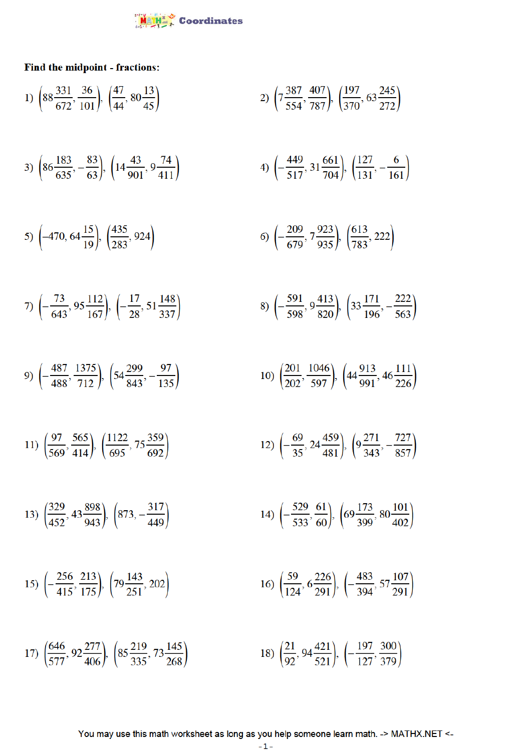

## Find the midpoint - fractions:

1) 
$$
\left(88\frac{331}{672}, \frac{36}{101}\right), \left(\frac{47}{44}, 80\frac{13}{45}\right)
$$
 2)  $\left(7\frac{387}{554}, \frac{407}{787}\right), \left(\frac{197}{370}, 63\frac{245}{272}\right)$ 

3) 
$$
\left(86\frac{183}{635}, -\frac{83}{63}\right), \left(14\frac{43}{901}, 9\frac{74}{411}\right)
$$
   
4)  $\left(-\frac{449}{517}, 31\frac{661}{704}\right), \left(\frac{127}{131}, -\frac{6}{161}\right)$ 

5) 
$$
\left(-470, 64\frac{15}{19}\right), \left(\frac{435}{283}, 924\right)
$$
   
6)  $\left(-\frac{209}{679}, 7\frac{923}{935}\right), \left(\frac{613}{783}, 222\right)$ 

7) 
$$
\left(-\frac{73}{643}, 95\frac{112}{167}\right), \left(-\frac{17}{28}, 51\frac{148}{337}\right)
$$
   
8)  $\left(-\frac{591}{598}, 9\frac{413}{820}\right), \left(33\frac{171}{196}, -\frac{222}{563}\right)$ 

9) 
$$
\left(-\frac{487}{488}, \frac{1375}{712}\right), \left(54\frac{299}{843}, -\frac{97}{135}\right)
$$
   
10)  $\left(\frac{201}{202}, \frac{1046}{597}\right), \left(44\frac{913}{991}, 46\frac{111}{226}\right)$ 

11) 
$$
\left(\frac{97}{569}, \frac{565}{414}\right), \left(\frac{1122}{695}, 75\frac{359}{692}\right)
$$
 12)  $\left(-\frac{69}{35}, 24\frac{459}{481}\right), \left(9\frac{271}{343}, -\frac{727}{857}\right)$ 

13) 
$$
\left(\frac{329}{452}, 43\frac{898}{943}\right), \left(873, -\frac{317}{449}\right)
$$
 14)  $\left(-\frac{529}{533}, \frac{61}{60}\right), \left(69\frac{173}{399}, 80\frac{101}{402}\right)$ 

$$
15)\ \left(-\frac{256}{415}, \frac{213}{175}\right), \ \left(79\frac{143}{251}, 202\right) \ \ 16)\ \left(\frac{59}{124}, \ 6\frac{226}{291}\right), \ \left(-\frac{483}{394}, \ 57\frac{107}{291}\right)
$$

17) 
$$
\left(\frac{646}{577}, 92\frac{277}{406}\right), \left(85\frac{219}{335}, 73\frac{145}{268}\right)
$$
 18)  $\left(\frac{21}{92}, 94\frac{421}{521}\right), \left(-\frac{197}{127}, \frac{300}{379}\right)$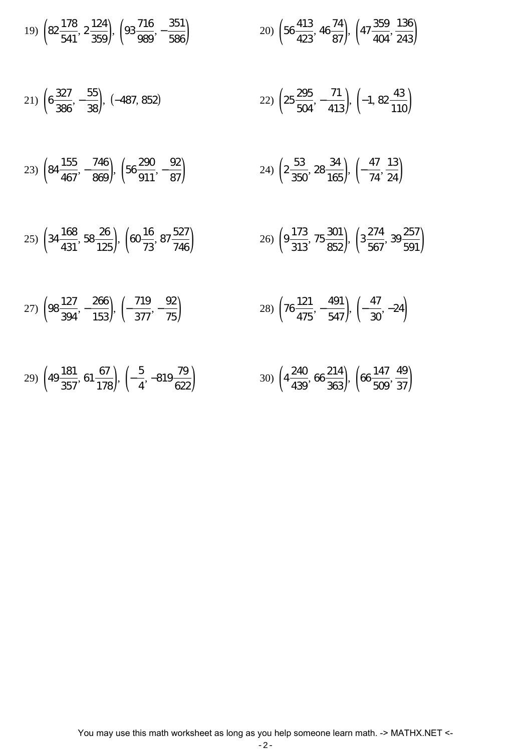19) 
$$
\left(82\frac{178}{541}, 2\frac{124}{359}\right), \left(93\frac{716}{989}, -\frac{351}{586}\right)
$$
   
20)  $\left(56\frac{413}{423}, 46\frac{74}{87}\right), \left(47\frac{359}{404}, \frac{136}{243}\right)$ 

$$
21)\left(6\frac{327}{386}, -\frac{55}{38}\right), \ (-487, 852) \qquad \qquad 22)\left(25\frac{295}{504}, -\frac{71}{413}\right), \ \left(-1, 82\frac{43}{110}\right)
$$

$$
23)\left(84\frac{155}{467}, -\frac{746}{869}\right), \left(56\frac{290}{911}, -\frac{92}{87}\right) \qquad 24)\left(2\frac{53}{350}, 28\frac{34}{165}\right), \left(-\frac{47}{74}, \frac{13}{24}\right)
$$

$$
25)\left(34\frac{168}{431}, 58\frac{26}{125}\right), \left(60\frac{16}{73}, 87\frac{527}{746}\right) \qquad 26)\left(9\frac{173}{313}, 75\frac{301}{852}\right), \left(3\frac{274}{567}, 39\frac{257}{591}\right)
$$

27) 
$$
\left(98\frac{127}{394}, -\frac{266}{153}\right), \left(-\frac{719}{377}, -\frac{92}{75}\right)
$$
   
28)  $\left(76\frac{121}{475}, -\frac{491}{547}\right), \left(-\frac{47}{30}, -24\right)$ 

29) 
$$
\left(49\frac{181}{357}, 61\frac{67}{178}\right), \left(-\frac{5}{4}, -819\frac{79}{622}\right)
$$
 30)  $\left(4\frac{240}{439}, 66\frac{214}{363}\right), \left(66\frac{147}{509}, \frac{49}{37}\right)$ 

You may use this math worksheet as long as you help someone learn math. -> MATHX.NET <-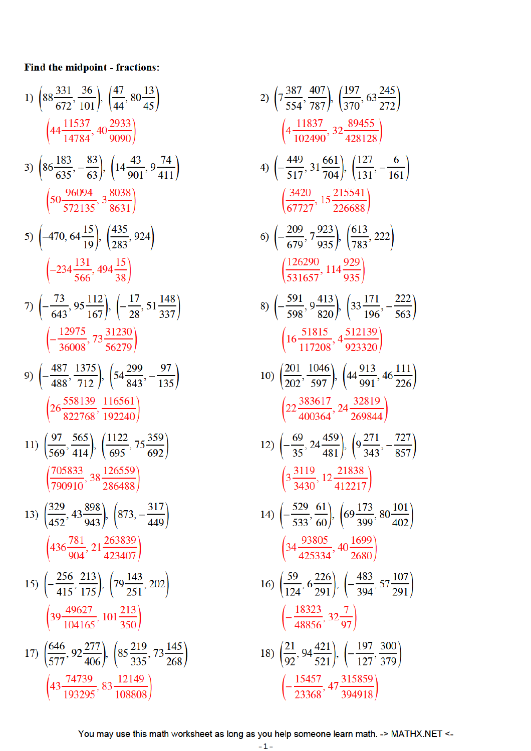## Find the midpoint - fractions:

1) 
$$
\left(88\frac{331}{672}, \frac{36}{101}\right), \left(\frac{47}{44}, 80\frac{13}{45}\right)
$$
  
\n $\left(44\frac{11537}{14784}, 40\frac{2933}{9090}\right)$   
\n3)  $\left(86\frac{183}{635}, -\frac{83}{63}\right), \left(14\frac{43}{901}, 9\frac{74}{411}\right)$   
\n $\left(50\frac{96094}{572135}, 3\frac{8038}{8631}\right)$   
\n5)  $\left(-470, 64\frac{15}{19}\right), \left(\frac{435}{283}, 924\right)$   
\n $\left(-234\frac{131}{566}, 494\frac{15}{38}\right)$   
\n7)  $\left(-\frac{73}{643}, 95\frac{112}{167}\right), \left(-\frac{17}{28}, 51\frac{148}{337}\right)$   
\n $\left(-\frac{12975}{36008}, 73\frac{31230}{56279}\right)$   
\n9)  $\left(-\frac{487}{488}, \frac{1375}{712}\right), \left(54\frac{299}{843}, -\frac{97}{135}\right)$   
\n $\left(26\frac{558139}{822768}, \frac{116561}{192240}\right)$   
\n11)  $\left(\frac{97}{569}, \frac{565}{414}\right), \left(\frac{1122}{695}, 75\frac{359}{692}\right)$   
\n $\left(\frac{705833}{790910}, 38\frac{126559}{286488}\right)$   
\n13)  $\left(\frac{329}{452}, 43\frac{898}{943}\right), \left(873, -\frac{317}{449}\right)$   
\n $\left(436\frac{781}{904}, 21\frac{263839}{423407}\right)$   
\n15)  $\left(-\frac{256$ 

2) 
$$
\left(7\frac{387}{554}, \frac{407}{787}\right), \left(\frac{197}{370}, 63\frac{245}{272}\right)
$$
  
\n $\left(4\frac{11837}{102490}, 32\frac{89455}{428128}\right)$   
\n4)  $\left(-\frac{449}{517}, 31\frac{661}{704}\right), \left(\frac{127}{131}, -\frac{6}{161}\right)$   
\n $\left(\frac{3420}{67727}, 15\frac{215541}{226688}\right)$   
\n6)  $\left(-\frac{209}{679}, 7\frac{923}{935}\right), \left(\frac{613}{783}, 222\right)$   
\n $\left(\frac{126290}{531657}, 114\frac{929}{935}\right)$   
\n8)  $\left(-\frac{591}{598}, 9\frac{413}{820}\right), \left(33\frac{171}{196}, -\frac{222}{563}\right)$   
\n10)  $\left(\frac{201}{202}, \frac{1046}{597}\right), \left(44\frac{913}{991}, 46\frac{111}{226}\right)$   
\n $\left(22\frac{383617}{400364}, 24\frac{32819}{269844}\right)$   
\n12)  $\left(-\frac{69}{35}, 24\frac{459}{481}\right), \left(9\frac{271}{343}, -\frac{727}{857}\right)$   
\n $\left(3\frac{3119}{3430}, 12\frac{21838}{412217}\right)$   
\n14)  $\left(-\frac{529}{533}, \frac{61}{60}\right), \left(69\frac{173}{399}, 80\frac{101}{402}\right)$   
\n $\left(34\frac{93805}{425334}, 40\frac{1699}{2680}\right)$   
\n16)  $\left(\frac{59}{124}, 6\frac{226}{291$ 

$$
\cdot 1\cdot
$$